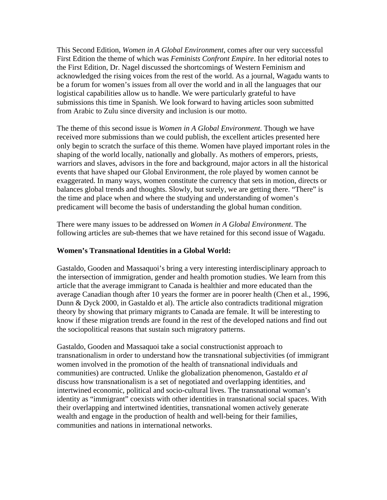This Second Edition, *Women in A Global Environment*, comes after our very successful First Edition the theme of which was *Feminists Confront Empire*. In her editorial notes to the First Edition, Dr. Nagel discussed the shortcomings of Western Feminism and acknowledged the rising voices from the rest of the world. As a journal, Wagadu wants to be a forum for women's issues from all over the world and in all the languages that our logistical capabilities allow us to handle. We were particularly grateful to have submissions this time in Spanish. We look forward to having articles soon submitted from Arabic to Zulu since diversity and inclusion is our motto.

The theme of this second issue is *Women in A Global Environment*. Though we have received more submissions than we could publish, the excellent articles presented here only begin to scratch the surface of this theme. Women have played important roles in the shaping of the world locally, nationally and globally. As mothers of emperors, priests, warriors and slaves, advisors in the fore and background, major actors in all the historical events that have shaped our Global Environment, the role played by women cannot be exaggerated. In many ways, women constitute the currency that sets in motion, directs or balances global trends and thoughts. Slowly, but surely, we are getting there. "There" is the time and place when and where the studying and understanding of women's predicament will become the basis of understanding the global human condition.

There were many issues to be addressed on *Women in A Global Environment*. The following articles are sub-themes that we have retained for this second issue of Wagadu.

## **Women's Transnational Identities in a Global World:**

Gastaldo, Gooden and Massaquoi's bring a very interesting interdisciplinary approach to the intersection of immigration, gender and health promotion studies. We learn from this article that the average immigrant to Canada is healthier and more educated than the average Canadian though after 10 years the former are in poorer health (Chen et al., 1996, Dunn & Dyck 2000, in Gastaldo et al). The article also contradicts traditional migration theory by showing that primary migrants to Canada are female. It will be interesting to know if these migration trends are found in the rest of the developed nations and find out the sociopolitical reasons that sustain such migratory patterns.

Gastaldo, Gooden and Massaquoi take a social constructionist approach to transnationalism in order to understand how the transnational subjectivities (of immigrant women involved in the promotion of the health of transnational individuals and communities) are contructed. Unlike the globalization phenomenon, Gastaldo *et al* discuss how transnationalism is a set of negotiated and overlapping identities, and intertwined economic, political and socio-cultural lives. The transnational woman's identity as "immigrant" coexists with other identities in transnational social spaces. With their overlapping and intertwined identities, transnational women actively generate wealth and engage in the production of health and well-being for their families, communities and nations in international networks.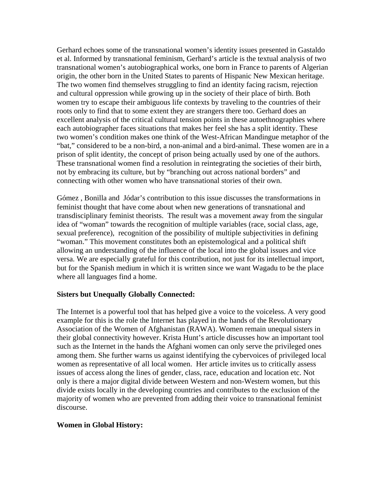Gerhard echoes some of the transnational women's identity issues presented in Gastaldo et al. Informed by transnational feminism, Gerhard's article is the textual analysis of two transnational women's autobiographical works, one born in France to parents of Algerian origin, the other born in the United States to parents of Hispanic New Mexican heritage. The two women find themselves struggling to find an identity facing racism, rejection and cultural oppression while growing up in the society of their place of birth. Both women try to escape their ambiguous life contexts by traveling to the countries of their roots only to find that to some extent they are strangers there too. Gerhard does an excellent analysis of the critical cultural tension points in these autoethnographies where each autobiographer faces situations that makes her feel she has a split identity. These two women's condition makes one think of the West-African Mandingue metaphor of the "bat," considered to be a non-bird, a non-animal and a bird-animal. These women are in a prison of split identity, the concept of prison being actually used by one of the authors. These transnational women find a resolution in reintegrating the societies of their birth, not by embracing its culture, but by "branching out across national borders" and connecting with other women who have transnational stories of their own.

Gómez , Bonilla and Jódar's contribution to this issue discusses the transformations in feminist thought that have come about when new generations of transnational and transdisciplinary feminist theorists. The result was a movement away from the singular idea of "woman" towards the recognition of multiple variables (race, social class, age, sexual preference), recognition of the possibility of multiple subjectivities in defining "woman." This movement constitutes both an epistemological and a political shift allowing an understanding of the influence of the local into the global issues and vice versa. We are especially grateful for this contribution, not just for its intellectual import, but for the Spanish medium in which it is written since we want Wagadu to be the place where all languages find a home.

## **Sisters but Unequally Globally Connected:**

The Internet is a powerful tool that has helped give a voice to the voiceless. A very good example for this is the role the Internet has played in the hands of the Revolutionary Association of the Women of Afghanistan (RAWA). Women remain unequal sisters in their global connectivity however. Krista Hunt's article discusses how an important tool such as the Internet in the hands the Afghani women can only serve the privileged ones among them. She further warns us against identifying the cybervoices of privileged local women as representative of all local women. Her article invites us to critically assess issues of access along the lines of gender, class, race, education and location etc. Not only is there a major digital divide between Western and non-Western women, but this divide exists locally in the developing countries and contributes to the exclusion of the majority of women who are prevented from adding their voice to transnational feminist discourse.

#### **Women in Global History:**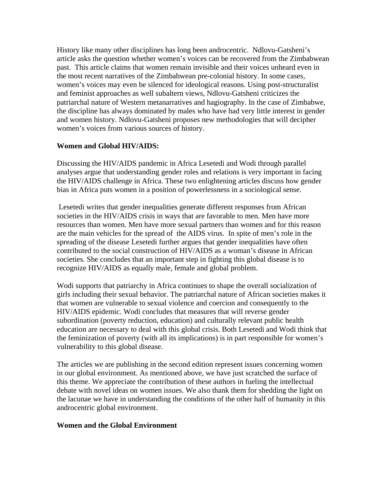History like many other disciplines has long been androcentric. Ndlovu-Gatsheni's article asks the question whether women's voices can be recovered from the Zimbabwean past. This article claims that women remain invisible and their voices unheard even in the most recent narratives of the Zimbabwean pre-colonial history. In some cases, women's voices may even be silenced for ideological reasons. Using post-structuralist and feminist approaches as well subaltern views, Ndlovu-Gatsheni criticizes the patriarchal nature of Western metanarratives and hagiography. In the case of Zimbabwe, the discipline has always dominated by males who have had very little interest in gender and women history. Ndlovu-Gatsheni proposes new methodologies that will decipher women's voices from various sources of history.

# **Women and Global HIV/AIDS:**

Discussing the HIV/AIDS pandemic in Africa Lesetedi and Wodi through parallel analyses argue that understanding gender roles and relations is very important in facing the HIV/AIDS challenge in Africa. These two enlightening articles discuss how gender bias in Africa puts women in a position of powerlessness in a sociological sense.

 Lesetedi writes that gender inequalities generate different responses from African societies in the HIV/AIDS crisis in ways that are favorable to men. Men have more resources than women. Men have more sexual partners than women and for this reason are the main vehicles for the spread of the AIDS virus. In spite of men's role in the spreading of the disease Lesetedi further argues that gender inequalities have often contributed to the social construction of HIV/AIDS as a woman's disease in African societies. She concludes that an important step in fighting this global disease is to recognize HIV/AIDS as equally male, female and global problem.

Wodi supports that patriarchy in Africa continues to shape the overall socialization of girls including their sexual behavior. The patriarchal nature of African societies makes it that women are vulnerable to sexual violence and coercion and consequently to the HIV/AIDS epidemic. Wodi concludes that measures that will reverse gender subordination (poverty reduction, education) and culturally relevant public health education are necessary to deal with this global crisis. Both Lesetedi and Wodi think that the feminization of poverty (with all its implications) is in part responsible for women's vulnerability to this global disease.

The articles we are publishing in the second edition represent issues concerning women in our global environment. As mentioned above, we have just scratched the surface of this theme. We appreciate the contribution of these authors in fueling the intellectual debate with novel ideas on women issues. We also thank them for shedding the light on the lacunae we have in understanding the conditions of the other half of humanity in this androcentric global environment.

## **Women and the Global Environment**